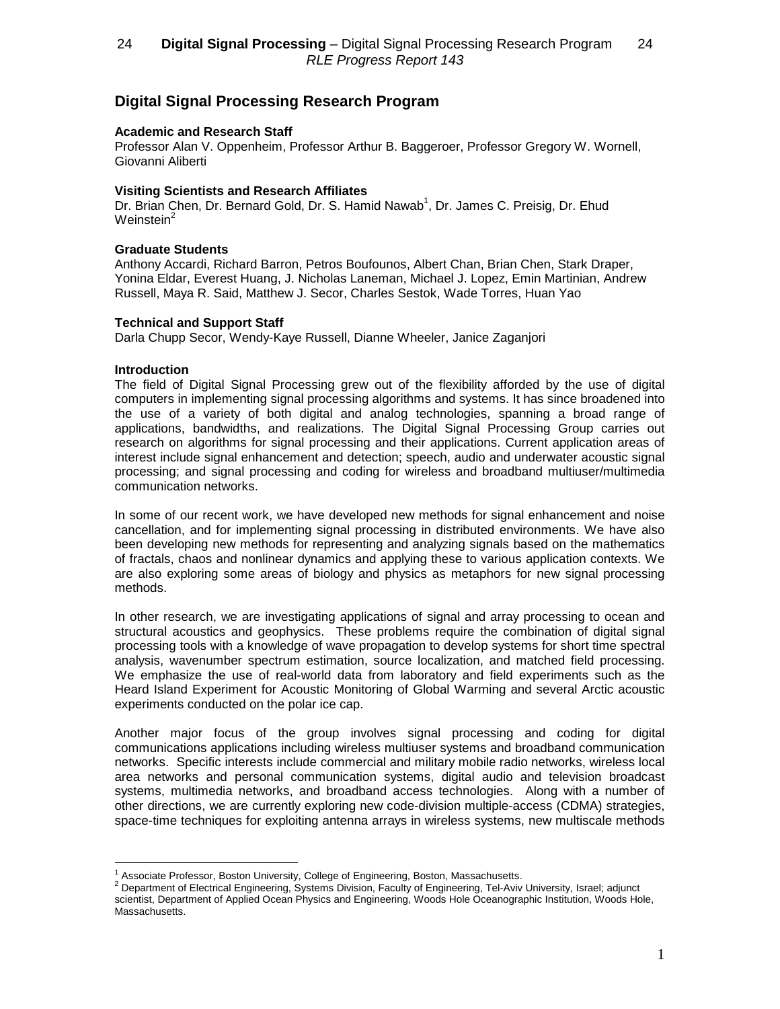# **Digital Signal Processing Research Program**

## **Academic and Research Staff**

Professor Alan V. Oppenheim, Professor Arthur B. Baggeroer, Professor Gregory W. Wornell, Giovanni Aliberti

## **Visiting Scientists and Research Affiliates**

Dr. Brian Chen, Dr. Bernard Gold, Dr. S. Hamid Nawab<sup>1</sup>, Dr. James C. Preisig, Dr. Ehud Weinstein<sup>2</sup>

## **Graduate Students**

Anthony Accardi, Richard Barron, Petros Boufounos, Albert Chan, Brian Chen, Stark Draper, Yonina Eldar, Everest Huang, J. Nicholas Laneman, Michael J. Lopez, Emin Martinian, Andrew Russell, Maya R. Said, Matthew J. Secor, Charles Sestok, Wade Torres, Huan Yao

## **Technical and Support Staff**

Darla Chupp Secor, Wendy-Kaye Russell, Dianne Wheeler, Janice Zaganjori

### **Introduction**

The field of Digital Signal Processing grew out of the flexibility afforded by the use of digital computers in implementing signal processing algorithms and systems. It has since broadened into the use of a variety of both digital and analog technologies, spanning a broad range of applications, bandwidths, and realizations. The Digital Signal Processing Group carries out research on algorithms for signal processing and their applications. Current application areas of interest include signal enhancement and detection; speech, audio and underwater acoustic signal processing; and signal processing and coding for wireless and broadband multiuser/multimedia communication networks.

In some of our recent work, we have developed new methods for signal enhancement and noise cancellation, and for implementing signal processing in distributed environments. We have also been developing new methods for representing and analyzing signals based on the mathematics of fractals, chaos and nonlinear dynamics and applying these to various application contexts. We are also exploring some areas of biology and physics as metaphors for new signal processing methods.

In other research, we are investigating applications of signal and array processing to ocean and structural acoustics and geophysics. These problems require the combination of digital signal processing tools with a knowledge of wave propagation to develop systems for short time spectral analysis, wavenumber spectrum estimation, source localization, and matched field processing. We emphasize the use of real-world data from laboratory and field experiments such as the Heard Island Experiment for Acoustic Monitoring of Global Warming and several Arctic acoustic experiments conducted on the polar ice cap.

Another major focus of the group involves signal processing and coding for digital communications applications including wireless multiuser systems and broadband communication networks. Specific interests include commercial and military mobile radio networks, wireless local area networks and personal communication systems, digital audio and television broadcast systems, multimedia networks, and broadband access technologies. Along with a number of other directions, we are currently exploring new code-division multiple-access (CDMA) strategies, space-time techniques for exploiting antenna arrays in wireless systems, new multiscale methods

<sup>&</sup>lt;sup>1</sup> Associate Professor, Boston University, College of Engineering, Boston, Massachusetts.<br><sup>2</sup> Department of Electrical Engineering, Systems Division, Faculty of Engineering, Tel-Aviv University, Israel; adjunct scientist, Department of Applied Ocean Physics and Engineering, Woods Hole Oceanographic Institution, Woods Hole, Massachusetts.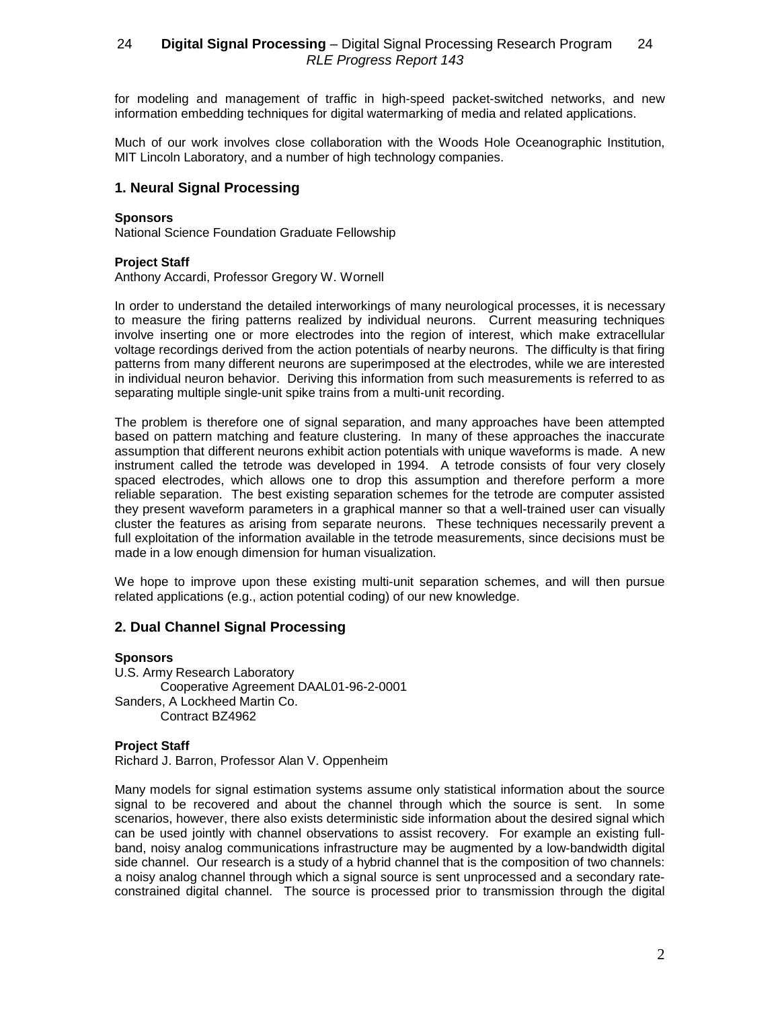for modeling and management of traffic in high-speed packet-switched networks, and new information embedding techniques for digital watermarking of media and related applications.

Much of our work involves close collaboration with the Woods Hole Oceanographic Institution, MIT Lincoln Laboratory, and a number of high technology companies.

# **1. Neural Signal Processing**

### **Sponsors**

National Science Foundation Graduate Fellowship

## **Project Staff**

Anthony Accardi, Professor Gregory W. Wornell

In order to understand the detailed interworkings of many neurological processes, it is necessary to measure the firing patterns realized by individual neurons. Current measuring techniques involve inserting one or more electrodes into the region of interest, which make extracellular voltage recordings derived from the action potentials of nearby neurons. The difficulty is that firing patterns from many different neurons are superimposed at the electrodes, while we are interested in individual neuron behavior. Deriving this information from such measurements is referred to as separating multiple single-unit spike trains from a multi-unit recording.

The problem is therefore one of signal separation, and many approaches have been attempted based on pattern matching and feature clustering. In many of these approaches the inaccurate assumption that different neurons exhibit action potentials with unique waveforms is made. A new instrument called the tetrode was developed in 1994. A tetrode consists of four very closely spaced electrodes, which allows one to drop this assumption and therefore perform a more reliable separation. The best existing separation schemes for the tetrode are computer assisted they present waveform parameters in a graphical manner so that a well-trained user can visually cluster the features as arising from separate neurons. These techniques necessarily prevent a full exploitation of the information available in the tetrode measurements, since decisions must be made in a low enough dimension for human visualization.

We hope to improve upon these existing multi-unit separation schemes, and will then pursue related applications (e.g., action potential coding) of our new knowledge.

# **2. Dual Channel Signal Processing**

### **Sponsors**

U.S. Army Research Laboratory Cooperative Agreement DAAL01-96-2-0001 Sanders, A Lockheed Martin Co. Contract BZ4962

# **Project Staff**

Richard J. Barron, Professor Alan V. Oppenheim

Many models for signal estimation systems assume only statistical information about the source signal to be recovered and about the channel through which the source is sent. In some scenarios, however, there also exists deterministic side information about the desired signal which can be used jointly with channel observations to assist recovery. For example an existing fullband, noisy analog communications infrastructure may be augmented by a low-bandwidth digital side channel. Our research is a study of a hybrid channel that is the composition of two channels: a noisy analog channel through which a signal source is sent unprocessed and a secondary rateconstrained digital channel. The source is processed prior to transmission through the digital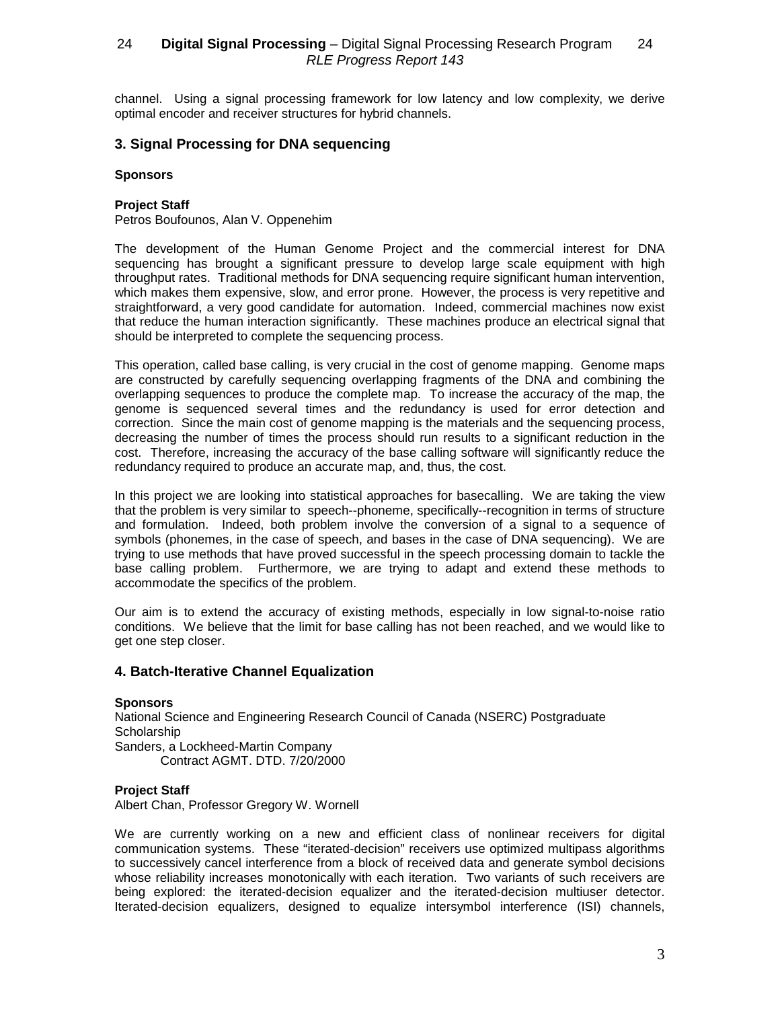channel. Using a signal processing framework for low latency and low complexity, we derive optimal encoder and receiver structures for hybrid channels.

# **3. Signal Processing for DNA sequencing**

#### **Sponsors**

### **Project Staff**

Petros Boufounos, Alan V. Oppenehim

The development of the Human Genome Project and the commercial interest for DNA sequencing has brought a significant pressure to develop large scale equipment with high throughput rates. Traditional methods for DNA sequencing require significant human intervention, which makes them expensive, slow, and error prone. However, the process is very repetitive and straightforward, a very good candidate for automation. Indeed, commercial machines now exist that reduce the human interaction significantly. These machines produce an electrical signal that should be interpreted to complete the sequencing process.

This operation, called base calling, is very crucial in the cost of genome mapping. Genome maps are constructed by carefully sequencing overlapping fragments of the DNA and combining the overlapping sequences to produce the complete map. To increase the accuracy of the map, the genome is sequenced several times and the redundancy is used for error detection and correction. Since the main cost of genome mapping is the materials and the sequencing process, decreasing the number of times the process should run results to a significant reduction in the cost. Therefore, increasing the accuracy of the base calling software will significantly reduce the redundancy required to produce an accurate map, and, thus, the cost.

In this project we are looking into statistical approaches for basecalling. We are taking the view that the problem is very similar to speech--phoneme, specifically--recognition in terms of structure and formulation. Indeed, both problem involve the conversion of a signal to a sequence of symbols (phonemes, in the case of speech, and bases in the case of DNA sequencing). We are trying to use methods that have proved successful in the speech processing domain to tackle the base calling problem. Furthermore, we are trying to adapt and extend these methods to accommodate the specifics of the problem.

Our aim is to extend the accuracy of existing methods, especially in low signal-to-noise ratio conditions. We believe that the limit for base calling has not been reached, and we would like to get one step closer.

# **4. Batch-Iterative Channel Equalization**

#### **Sponsors** National Science and Engineering Research Council of Canada (NSERC) Postgraduate **Scholarship** Sanders, a Lockheed-Martin Company Contract AGMT. DTD. 7/20/2000

### **Project Staff**

Albert Chan, Professor Gregory W. Wornell

We are currently working on a new and efficient class of nonlinear receivers for digital communication systems. These "iterated-decision" receivers use optimized multipass algorithms to successively cancel interference from a block of received data and generate symbol decisions whose reliability increases monotonically with each iteration. Two variants of such receivers are being explored: the iterated-decision equalizer and the iterated-decision multiuser detector. Iterated-decision equalizers, designed to equalize intersymbol interference (ISI) channels,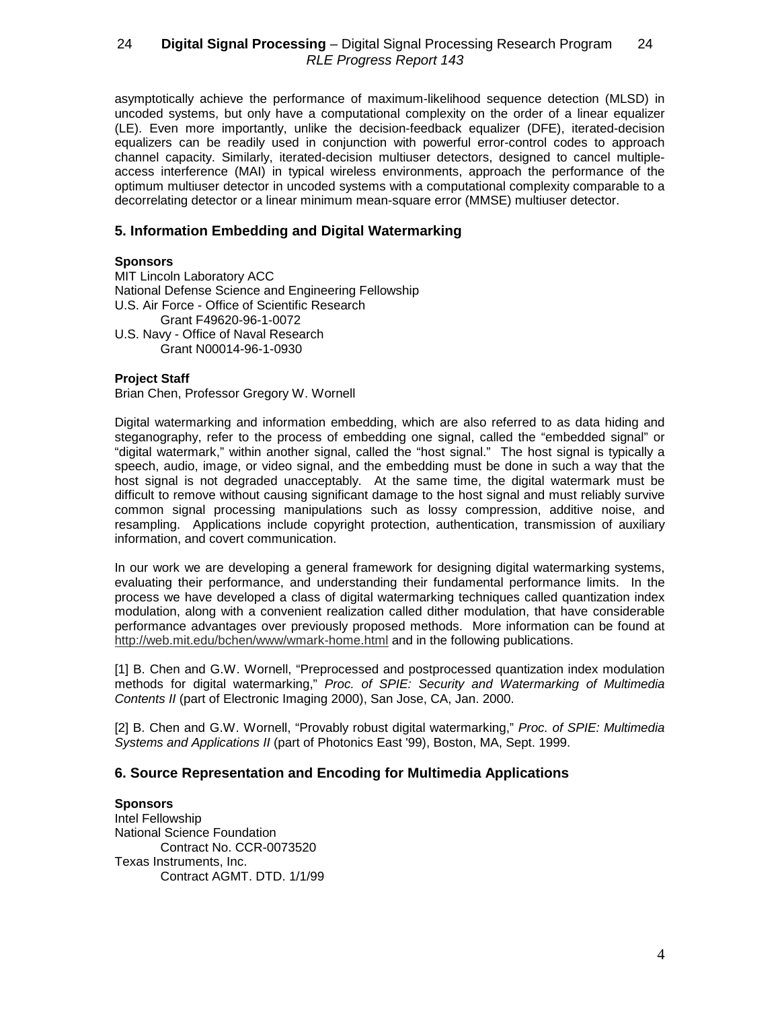asymptotically achieve the performance of maximum-likelihood sequence detection (MLSD) in uncoded systems, but only have a computational complexity on the order of a linear equalizer (LE). Even more importantly, unlike the decision-feedback equalizer (DFE), iterated-decision equalizers can be readily used in conjunction with powerful error-control codes to approach channel capacity. Similarly, iterated-decision multiuser detectors, designed to cancel multipleaccess interference (MAI) in typical wireless environments, approach the performance of the optimum multiuser detector in uncoded systems with a computational complexity comparable to a decorrelating detector or a linear minimum mean-square error (MMSE) multiuser detector.

# **5. Information Embedding and Digital Watermarking**

## **Sponsors**

MIT Lincoln Laboratory ACC National Defense Science and Engineering Fellowship U.S. Air Force - Office of Scientific Research Grant F49620-96-1-0072 U.S. Navy - Office of Naval Research Grant N00014-96-1-0930

### **Project Staff**

Brian Chen, Professor Gregory W. Wornell

Digital watermarking and information embedding, which are also referred to as data hiding and steganography, refer to the process of embedding one signal, called the "embedded signal" or "digital watermark," within another signal, called the "host signal." The host signal is typically a speech, audio, image, or video signal, and the embedding must be done in such a way that the host signal is not degraded unacceptably. At the same time, the digital watermark must be difficult to remove without causing significant damage to the host signal and must reliably survive common signal processing manipulations such as lossy compression, additive noise, and resampling. Applications include copyright protection, authentication, transmission of auxiliary information, and covert communication.

In our work we are developing a general framework for designing digital watermarking systems, evaluating their performance, and understanding their fundamental performance limits. In the process we have developed a class of digital watermarking techniques called quantization index modulation, along with a convenient realization called dither modulation, that have considerable performance advantages over previously proposed methods. More information can be found at http://web.mit.edu/bchen/www/wmark-home.html and in the following publications.

[1] B. Chen and G.W. Wornell, "Preprocessed and postprocessed quantization index modulation methods for digital watermarking," Proc. of SPIE: Security and Watermarking of Multimedia Contents II (part of Electronic Imaging 2000), San Jose, CA, Jan. 2000.

[2] B. Chen and G.W. Wornell, "Provably robust digital watermarking," Proc. of SPIE: Multimedia Systems and Applications II (part of Photonics East '99), Boston, MA, Sept. 1999.

# **6. Source Representation and Encoding for Multimedia Applications**

**Sponsors** Intel Fellowship National Science Foundation Contract No. CCR-0073520 Texas Instruments, Inc. Contract AGMT. DTD. 1/1/99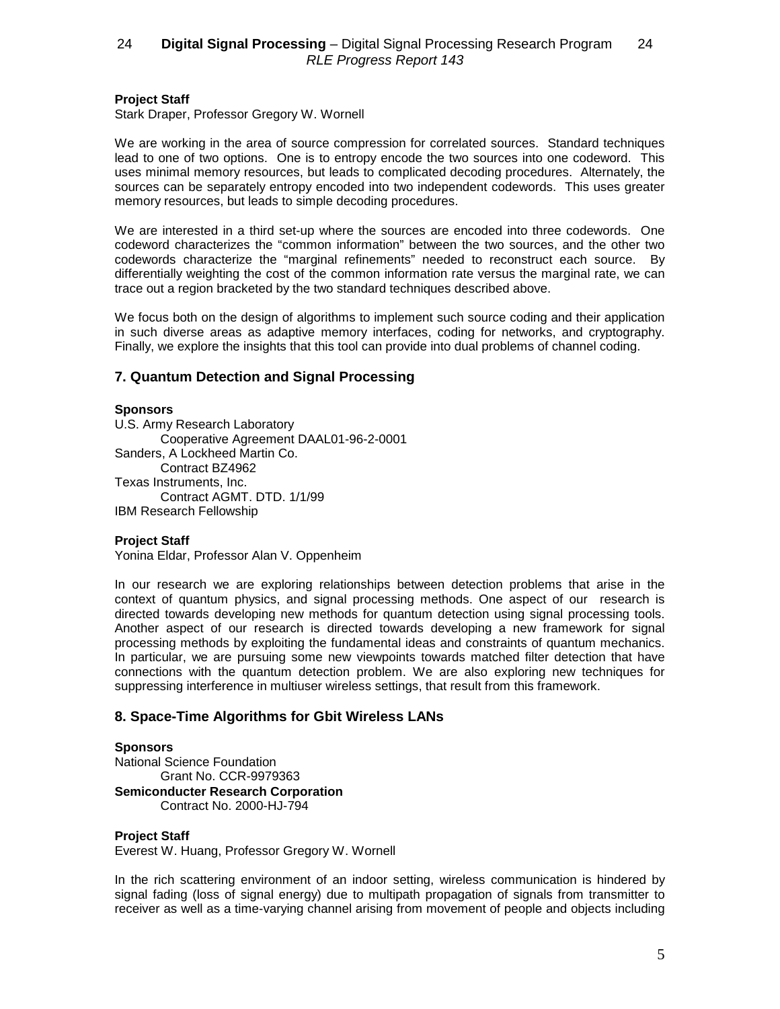### **Project Staff**

Stark Draper, Professor Gregory W. Wornell

We are working in the area of source compression for correlated sources. Standard techniques lead to one of two options. One is to entropy encode the two sources into one codeword. This uses minimal memory resources, but leads to complicated decoding procedures. Alternately, the sources can be separately entropy encoded into two independent codewords. This uses greater memory resources, but leads to simple decoding procedures.

We are interested in a third set-up where the sources are encoded into three codewords. One codeword characterizes the "common information" between the two sources, and the other two codewords characterize the "marginal refinements" needed to reconstruct each source. By differentially weighting the cost of the common information rate versus the marginal rate, we can trace out a region bracketed by the two standard techniques described above.

We focus both on the design of algorithms to implement such source coding and their application in such diverse areas as adaptive memory interfaces, coding for networks, and cryptography. Finally, we explore the insights that this tool can provide into dual problems of channel coding.

# **7. Quantum Detection and Signal Processing**

### **Sponsors**

U.S. Army Research Laboratory Cooperative Agreement DAAL01-96-2-0001 Sanders, A Lockheed Martin Co. Contract BZ4962 Texas Instruments, Inc. Contract AGMT. DTD. 1/1/99 IBM Research Fellowship

### **Project Staff**

Yonina Eldar, Professor Alan V. Oppenheim

In our research we are exploring relationships between detection problems that arise in the context of quantum physics, and signal processing methods. One aspect of our research is directed towards developing new methods for quantum detection using signal processing tools. Another aspect of our research is directed towards developing a new framework for signal processing methods by exploiting the fundamental ideas and constraints of quantum mechanics. In particular, we are pursuing some new viewpoints towards matched filter detection that have connections with the quantum detection problem. We are also exploring new techniques for suppressing interference in multiuser wireless settings, that result from this framework.

# **8. Space-Time Algorithms for Gbit Wireless LANs**

#### **Sponsors**

National Science Foundation Grant No. CCR-9979363 **Semiconducter Research Corporation** Contract No. 2000-HJ-794

### **Project Staff**

Everest W. Huang, Professor Gregory W. Wornell

In the rich scattering environment of an indoor setting, wireless communication is hindered by signal fading (loss of signal energy) due to multipath propagation of signals from transmitter to receiver as well as a time-varying channel arising from movement of people and objects including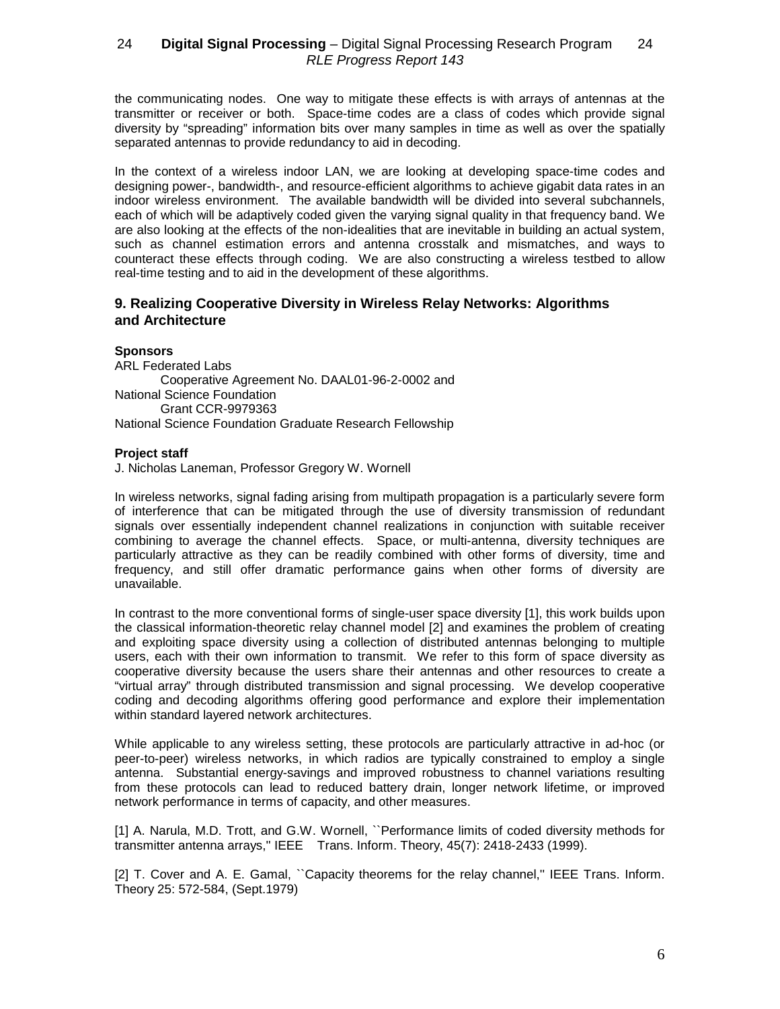the communicating nodes. One way to mitigate these effects is with arrays of antennas at the transmitter or receiver or both. Space-time codes are a class of codes which provide signal diversity by "spreading" information bits over many samples in time as well as over the spatially separated antennas to provide redundancy to aid in decoding.

In the context of a wireless indoor LAN, we are looking at developing space-time codes and designing power-, bandwidth-, and resource-efficient algorithms to achieve gigabit data rates in an indoor wireless environment. The available bandwidth will be divided into several subchannels, each of which will be adaptively coded given the varying signal quality in that frequency band. We are also looking at the effects of the non-idealities that are inevitable in building an actual system, such as channel estimation errors and antenna crosstalk and mismatches, and ways to counteract these effects through coding. We are also constructing a wireless testbed to allow real-time testing and to aid in the development of these algorithms.

# **9. Realizing Cooperative Diversity in Wireless Relay Networks: Algorithms and Architecture**

## **Sponsors**

ARL Federated Labs Cooperative Agreement No. DAAL01-96-2-0002 and National Science Foundation Grant CCR-9979363 National Science Foundation Graduate Research Fellowship

## **Project staff**

J. Nicholas Laneman, Professor Gregory W. Wornell

In wireless networks, signal fading arising from multipath propagation is a particularly severe form of interference that can be mitigated through the use of diversity transmission of redundant signals over essentially independent channel realizations in conjunction with suitable receiver combining to average the channel effects. Space, or multi-antenna, diversity techniques are particularly attractive as they can be readily combined with other forms of diversity, time and frequency, and still offer dramatic performance gains when other forms of diversity are unavailable.

In contrast to the more conventional forms of single-user space diversity [1], this work builds upon the classical information-theoretic relay channel model [2] and examines the problem of creating and exploiting space diversity using a collection of distributed antennas belonging to multiple users, each with their own information to transmit. We refer to this form of space diversity as cooperative diversity because the users share their antennas and other resources to create a "virtual array" through distributed transmission and signal processing. We develop cooperative coding and decoding algorithms offering good performance and explore their implementation within standard layered network architectures.

While applicable to any wireless setting, these protocols are particularly attractive in ad-hoc (or peer-to-peer) wireless networks, in which radios are typically constrained to employ a single antenna. Substantial energy-savings and improved robustness to channel variations resulting from these protocols can lead to reduced battery drain, longer network lifetime, or improved network performance in terms of capacity, and other measures.

[1] A. Narula, M.D. Trott, and G.W. Wornell, ``Performance limits of coded diversity methods for transmitter antenna arrays,'' IEEE Trans. Inform. Theory, 45(7): 2418-2433 (1999).

[2] T. Cover and A. E. Gamal, "Capacity theorems for the relay channel," IEEE Trans. Inform. Theory 25: 572-584, (Sept.1979)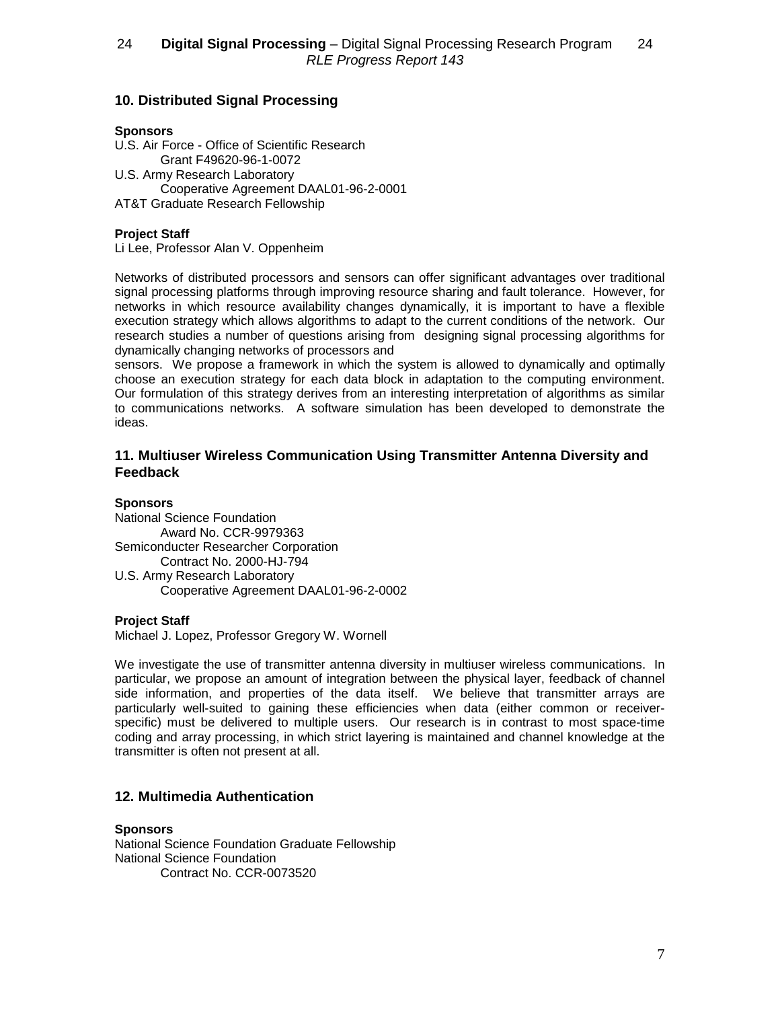# **10. Distributed Signal Processing**

### **Sponsors**

U.S. Air Force - Office of Scientific Research Grant F49620-96-1-0072 U.S. Army Research Laboratory Cooperative Agreement DAAL01-96-2-0001 AT&T Graduate Research Fellowship

## **Project Staff**

Li Lee, Professor Alan V. Oppenheim

Networks of distributed processors and sensors can offer significant advantages over traditional signal processing platforms through improving resource sharing and fault tolerance. However, for networks in which resource availability changes dynamically, it is important to have a flexible execution strategy which allows algorithms to adapt to the current conditions of the network. Our research studies a number of questions arising from designing signal processing algorithms for dynamically changing networks of processors and

sensors. We propose a framework in which the system is allowed to dynamically and optimally choose an execution strategy for each data block in adaptation to the computing environment. Our formulation of this strategy derives from an interesting interpretation of algorithms as similar to communications networks. A software simulation has been developed to demonstrate the ideas.

# **11. Multiuser Wireless Communication Using Transmitter Antenna Diversity and Feedback**

## **Sponsors**

National Science Foundation Award No. CCR-9979363 Semiconducter Researcher Corporation Contract No. 2000-HJ-794 U.S. Army Research Laboratory Cooperative Agreement DAAL01-96-2-0002

### **Project Staff**

Michael J. Lopez, Professor Gregory W. Wornell

We investigate the use of transmitter antenna diversity in multiuser wireless communications. In particular, we propose an amount of integration between the physical layer, feedback of channel side information, and properties of the data itself. We believe that transmitter arrays are particularly well-suited to gaining these efficiencies when data (either common or receiverspecific) must be delivered to multiple users. Our research is in contrast to most space-time coding and array processing, in which strict layering is maintained and channel knowledge at the transmitter is often not present at all.

# **12. Multimedia Authentication**

**Sponsors** National Science Foundation Graduate Fellowship National Science Foundation Contract No. CCR-0073520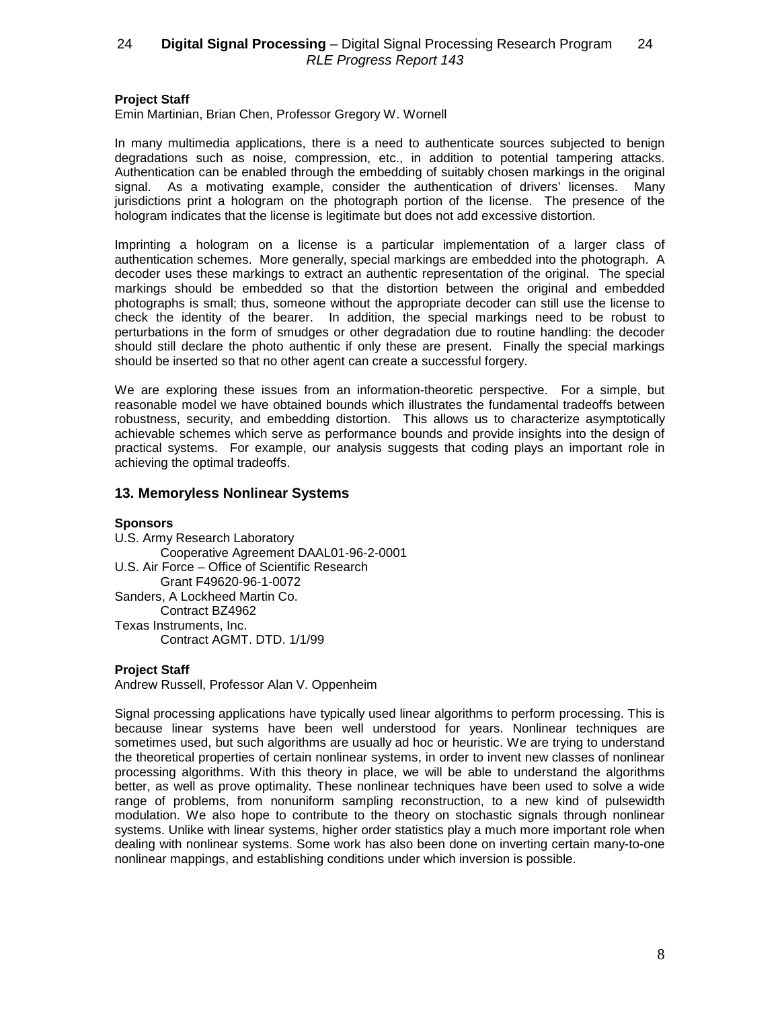### **Project Staff**

Emin Martinian, Brian Chen, Professor Gregory W. Wornell

In many multimedia applications, there is a need to authenticate sources subjected to benign degradations such as noise, compression, etc., in addition to potential tampering attacks. Authentication can be enabled through the embedding of suitably chosen markings in the original signal. As a motivating example, consider the authentication of drivers' licenses. Many jurisdictions print a hologram on the photograph portion of the license. The presence of the hologram indicates that the license is legitimate but does not add excessive distortion.

Imprinting a hologram on a license is a particular implementation of a larger class of authentication schemes. More generally, special markings are embedded into the photograph. A decoder uses these markings to extract an authentic representation of the original. The special markings should be embedded so that the distortion between the original and embedded photographs is small; thus, someone without the appropriate decoder can still use the license to check the identity of the bearer. In addition, the special markings need to be robust to perturbations in the form of smudges or other degradation due to routine handling: the decoder should still declare the photo authentic if only these are present. Finally the special markings should be inserted so that no other agent can create a successful forgery.

We are exploring these issues from an information-theoretic perspective. For a simple, but reasonable model we have obtained bounds which illustrates the fundamental tradeoffs between robustness, security, and embedding distortion. This allows us to characterize asymptotically achievable schemes which serve as performance bounds and provide insights into the design of practical systems. For example, our analysis suggests that coding plays an important role in achieving the optimal tradeoffs.

# **13. Memoryless Nonlinear Systems**

### **Sponsors**

U.S. Army Research Laboratory Cooperative Agreement DAAL01-96-2-0001 U.S. Air Force – Office of Scientific Research Grant F49620-96-1-0072 Sanders, A Lockheed Martin Co. Contract BZ4962 Texas Instruments, Inc. Contract AGMT. DTD. 1/1/99

### **Project Staff**

Andrew Russell, Professor Alan V. Oppenheim

Signal processing applications have typically used linear algorithms to perform processing. This is because linear systems have been well understood for years. Nonlinear techniques are sometimes used, but such algorithms are usually ad hoc or heuristic. We are trying to understand the theoretical properties of certain nonlinear systems, in order to invent new classes of nonlinear processing algorithms. With this theory in place, we will be able to understand the algorithms better, as well as prove optimality. These nonlinear techniques have been used to solve a wide range of problems, from nonuniform sampling reconstruction, to a new kind of pulsewidth modulation. We also hope to contribute to the theory on stochastic signals through nonlinear systems. Unlike with linear systems, higher order statistics play a much more important role when dealing with nonlinear systems. Some work has also been done on inverting certain many-to-one nonlinear mappings, and establishing conditions under which inversion is possible.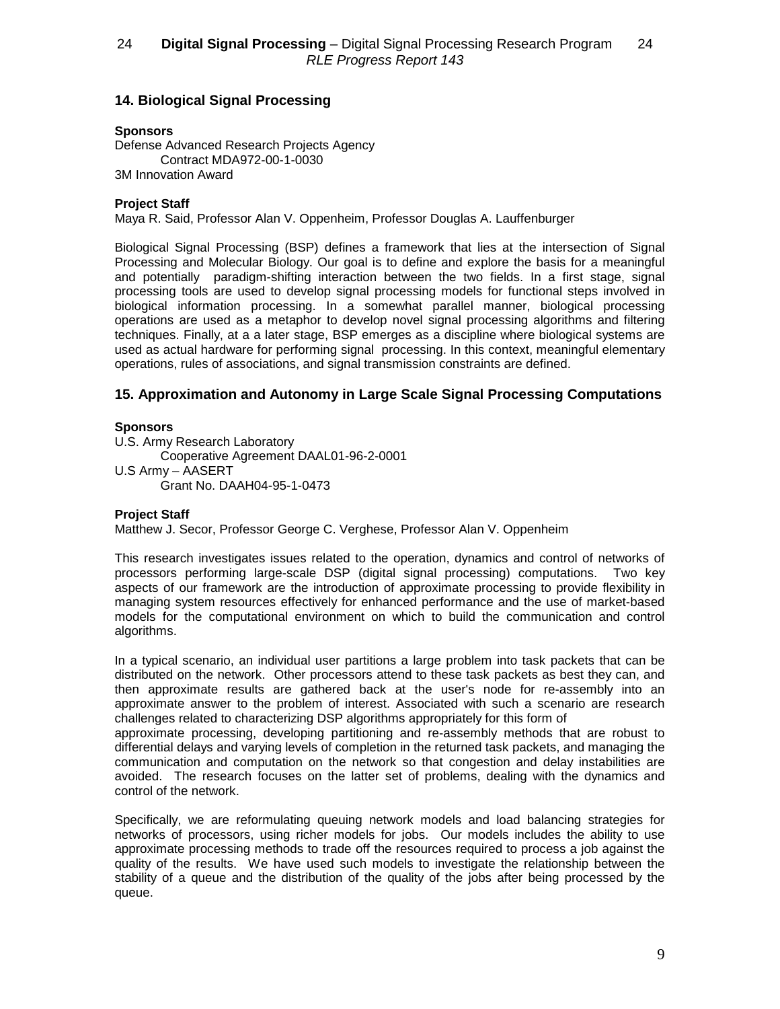# **14. Biological Signal Processing**

## **Sponsors**

Defense Advanced Research Projects Agency Contract MDA972-00-1-0030 3M Innovation Award

## **Project Staff**

Maya R. Said, Professor Alan V. Oppenheim, Professor Douglas A. Lauffenburger

Biological Signal Processing (BSP) defines a framework that lies at the intersection of Signal Processing and Molecular Biology. Our goal is to define and explore the basis for a meaningful and potentially paradigm-shifting interaction between the two fields. In a first stage, signal processing tools are used to develop signal processing models for functional steps involved in biological information processing. In a somewhat parallel manner, biological processing operations are used as a metaphor to develop novel signal processing algorithms and filtering techniques. Finally, at a a later stage, BSP emerges as a discipline where biological systems are used as actual hardware for performing signal processing. In this context, meaningful elementary operations, rules of associations, and signal transmission constraints are defined.

# **15. Approximation and Autonomy in Large Scale Signal Processing Computations**

## **Sponsors**

U.S. Army Research Laboratory Cooperative Agreement DAAL01-96-2-0001 U.S Army – AASERT Grant No. DAAH04-95-1-0473

# **Project Staff**

Matthew J. Secor, Professor George C. Verghese, Professor Alan V. Oppenheim

This research investigates issues related to the operation, dynamics and control of networks of processors performing large-scale DSP (digital signal processing) computations. Two key aspects of our framework are the introduction of approximate processing to provide flexibility in managing system resources effectively for enhanced performance and the use of market-based models for the computational environment on which to build the communication and control algorithms.

In a typical scenario, an individual user partitions a large problem into task packets that can be distributed on the network. Other processors attend to these task packets as best they can, and then approximate results are gathered back at the user's node for re-assembly into an approximate answer to the problem of interest. Associated with such a scenario are research challenges related to characterizing DSP algorithms appropriately for this form of

approximate processing, developing partitioning and re-assembly methods that are robust to differential delays and varying levels of completion in the returned task packets, and managing the communication and computation on the network so that congestion and delay instabilities are avoided. The research focuses on the latter set of problems, dealing with the dynamics and control of the network.

Specifically, we are reformulating queuing network models and load balancing strategies for networks of processors, using richer models for jobs. Our models includes the ability to use approximate processing methods to trade off the resources required to process a job against the quality of the results. We have used such models to investigate the relationship between the stability of a queue and the distribution of the quality of the jobs after being processed by the queue.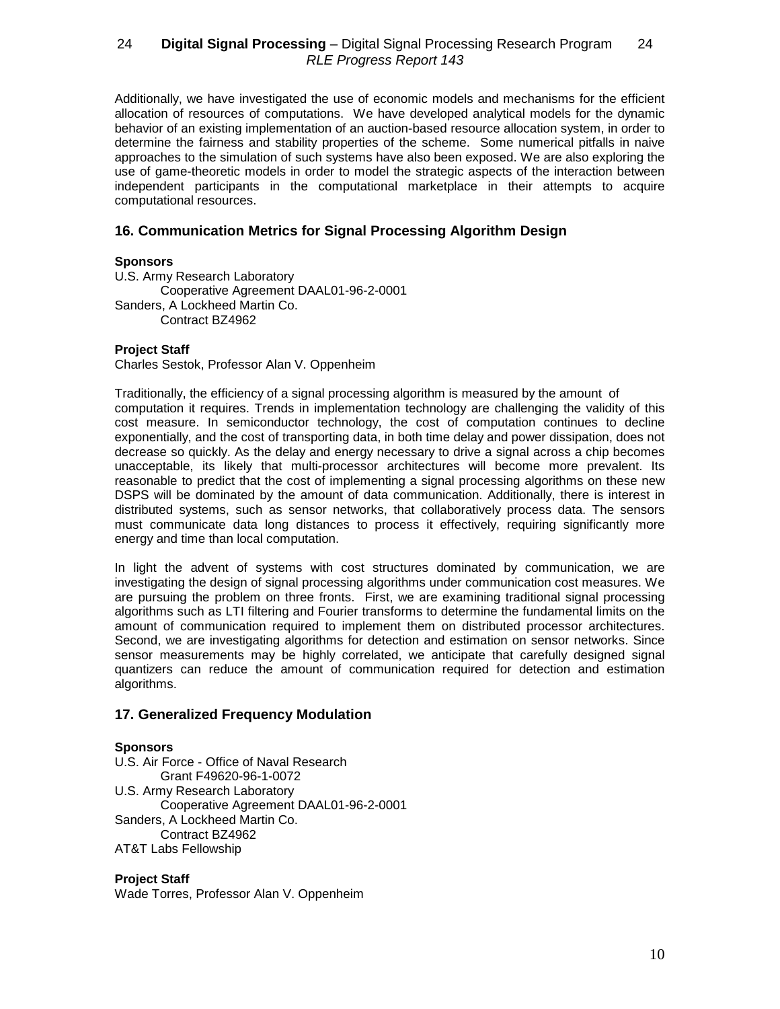Additionally, we have investigated the use of economic models and mechanisms for the efficient allocation of resources of computations. We have developed analytical models for the dynamic behavior of an existing implementation of an auction-based resource allocation system, in order to determine the fairness and stability properties of the scheme. Some numerical pitfalls in naive approaches to the simulation of such systems have also been exposed. We are also exploring the use of game-theoretic models in order to model the strategic aspects of the interaction between independent participants in the computational marketplace in their attempts to acquire computational resources.

# **16. Communication Metrics for Signal Processing Algorithm Design**

## **Sponsors**

U.S. Army Research Laboratory Cooperative Agreement DAAL01-96-2-0001 Sanders, A Lockheed Martin Co. Contract BZ4962

## **Project Staff**

Charles Sestok, Professor Alan V. Oppenheim

Traditionally, the efficiency of a signal processing algorithm is measured by the amount of computation it requires. Trends in implementation technology are challenging the validity of this cost measure. In semiconductor technology, the cost of computation continues to decline exponentially, and the cost of transporting data, in both time delay and power dissipation, does not decrease so quickly. As the delay and energy necessary to drive a signal across a chip becomes unacceptable, its likely that multi-processor architectures will become more prevalent. Its reasonable to predict that the cost of implementing a signal processing algorithms on these new DSPS will be dominated by the amount of data communication. Additionally, there is interest in distributed systems, such as sensor networks, that collaboratively process data. The sensors must communicate data long distances to process it effectively, requiring significantly more energy and time than local computation.

In light the advent of systems with cost structures dominated by communication, we are investigating the design of signal processing algorithms under communication cost measures. We are pursuing the problem on three fronts. First, we are examining traditional signal processing algorithms such as LTI filtering and Fourier transforms to determine the fundamental limits on the amount of communication required to implement them on distributed processor architectures. Second, we are investigating algorithms for detection and estimation on sensor networks. Since sensor measurements may be highly correlated, we anticipate that carefully designed signal quantizers can reduce the amount of communication required for detection and estimation algorithms.

# **17. Generalized Frequency Modulation**

### **Sponsors**

U.S. Air Force - Office of Naval Research Grant F49620-96-1-0072 U.S. Army Research Laboratory Cooperative Agreement DAAL01-96-2-0001 Sanders, A Lockheed Martin Co. Contract BZ4962 AT&T Labs Fellowship

### **Project Staff**

Wade Torres, Professor Alan V. Oppenheim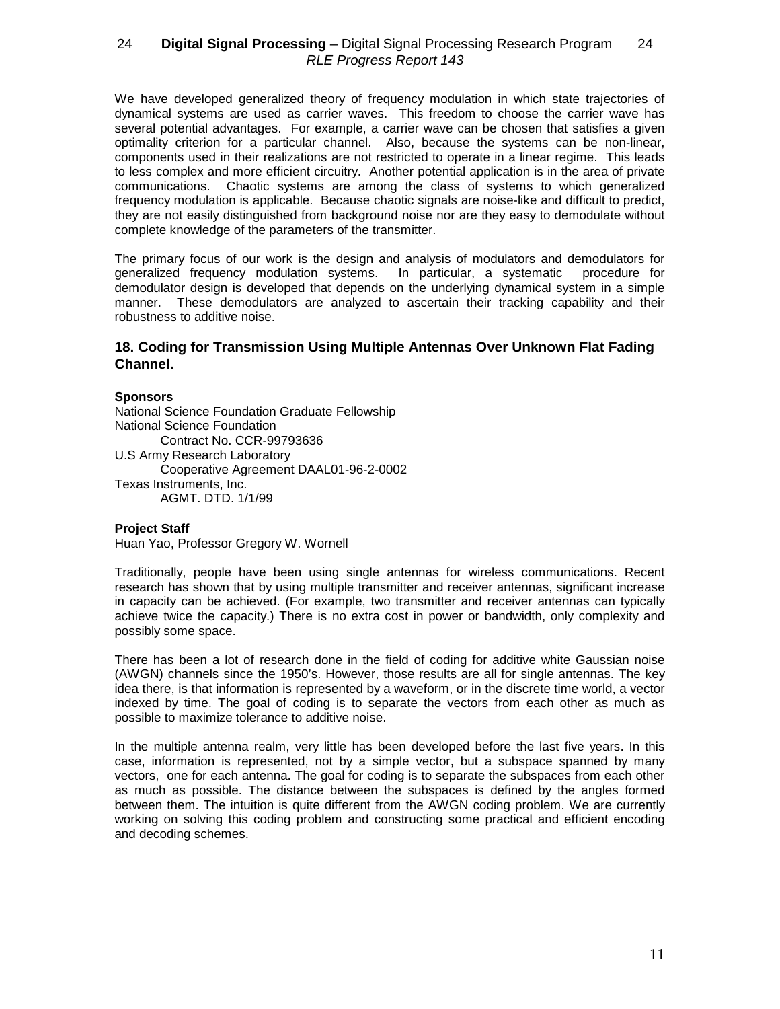We have developed generalized theory of frequency modulation in which state trajectories of dynamical systems are used as carrier waves. This freedom to choose the carrier wave has several potential advantages. For example, a carrier wave can be chosen that satisfies a given optimality criterion for a particular channel. Also, because the systems can be non-linear, components used in their realizations are not restricted to operate in a linear regime. This leads to less complex and more efficient circuitry. Another potential application is in the area of private communications. Chaotic systems are among the class of systems to which generalized frequency modulation is applicable. Because chaotic signals are noise-like and difficult to predict, they are not easily distinguished from background noise nor are they easy to demodulate without complete knowledge of the parameters of the transmitter.

The primary focus of our work is the design and analysis of modulators and demodulators for generalized frequency modulation systems. In particular, a systematic procedure for demodulator design is developed that depends on the underlying dynamical system in a simple manner. These demodulators are analyzed to ascertain their tracking capability and their robustness to additive noise.

## **18. Coding for Transmission Using Multiple Antennas Over Unknown Flat Fading Channel.**

## **Sponsors**

National Science Foundation Graduate Fellowship National Science Foundation Contract No. CCR-99793636 U.S Army Research Laboratory Cooperative Agreement DAAL01-96-2-0002 Texas Instruments, Inc. AGMT. DTD. 1/1/99

### **Project Staff**

Huan Yao, Professor Gregory W. Wornell

Traditionally, people have been using single antennas for wireless communications. Recent research has shown that by using multiple transmitter and receiver antennas, significant increase in capacity can be achieved. (For example, two transmitter and receiver antennas can typically achieve twice the capacity.) There is no extra cost in power or bandwidth, only complexity and possibly some space.

There has been a lot of research done in the field of coding for additive white Gaussian noise (AWGN) channels since the 1950's. However, those results are all for single antennas. The key idea there, is that information is represented by a waveform, or in the discrete time world, a vector indexed by time. The goal of coding is to separate the vectors from each other as much as possible to maximize tolerance to additive noise.

In the multiple antenna realm, very little has been developed before the last five years. In this case, information is represented, not by a simple vector, but a subspace spanned by many vectors, one for each antenna. The goal for coding is to separate the subspaces from each other as much as possible. The distance between the subspaces is defined by the angles formed between them. The intuition is quite different from the AWGN coding problem. We are currently working on solving this coding problem and constructing some practical and efficient encoding and decoding schemes.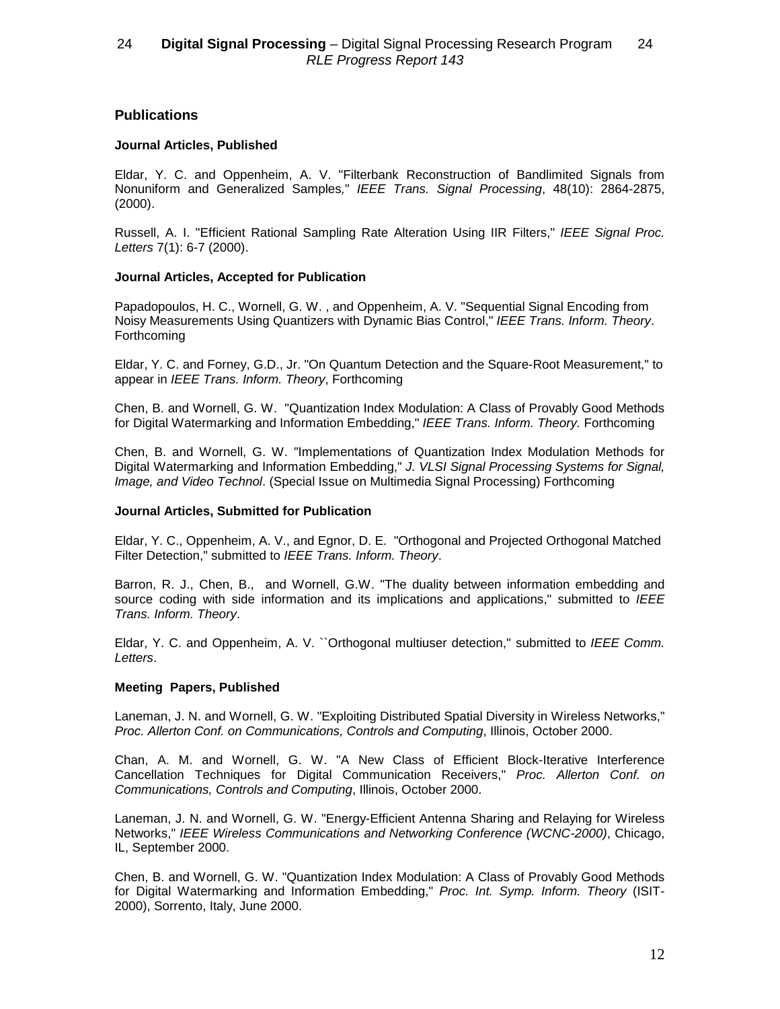# **Publications**

## **Journal Articles, Published**

Eldar, Y. C. and Oppenheim, A. V. "Filterbank Reconstruction of Bandlimited Signals from Nonuniform and Generalized Samples," IEEE Trans. Signal Processing, 48(10): 2864-2875, (2000).

Russell, A. I. "Efficient Rational Sampling Rate Alteration Using IIR Filters," IEEE Signal Proc. Letters 7(1): 6-7 (2000).

## **Journal Articles, Accepted for Publication**

Papadopoulos, H. C., Wornell, G. W. , and Oppenheim, A. V. "Sequential Signal Encoding from Noisy Measurements Using Quantizers with Dynamic Bias Control," IEEE Trans. Inform. Theory. **Forthcoming** 

Eldar, Y. C. and Forney, G.D., Jr. "On Quantum Detection and the Square-Root Measurement," to appear in IEEE Trans. Inform. Theory, Forthcoming

Chen, B. and Wornell, G. W. "Quantization Index Modulation: A Class of Provably Good Methods for Digital Watermarking and Information Embedding," IEEE Trans. Inform. Theory. Forthcoming

Chen, B. and Wornell, G. W. "Implementations of Quantization Index Modulation Methods for Digital Watermarking and Information Embedding," J. VLSI Signal Processing Systems for Signal, Image, and Video Technol. (Special Issue on Multimedia Signal Processing) Forthcoming

### **Journal Articles, Submitted for Publication**

Eldar, Y. C., Oppenheim, A. V., and Egnor, D. E. "Orthogonal and Projected Orthogonal Matched Filter Detection," submitted to IEEE Trans. Inform. Theory.

Barron, R. J., Chen, B., and Wornell, G.W. "The duality between information embedding and source coding with side information and its implications and applications," submitted to IEEE Trans. Inform. Theory.

Eldar, Y. C. and Oppenheim, A. V. ``Orthogonal multiuser detection," submitted to IEEE Comm. Letters.

# **Meeting Papers, Published**

Laneman, J. N. and Wornell, G. W. "Exploiting Distributed Spatial Diversity in Wireless Networks," Proc. Allerton Conf. on Communications, Controls and Computing, Illinois, October 2000.

Chan, A. M. and Wornell, G. W. "A New Class of Efficient Block-Iterative Interference Cancellation Techniques for Digital Communication Receivers," Proc. Allerton Conf. on Communications, Controls and Computing, Illinois, October 2000.

Laneman, J. N. and Wornell, G. W. "Energy-Efficient Antenna Sharing and Relaying for Wireless Networks," IEEE Wireless Communications and Networking Conference (WCNC-2000), Chicago, IL, September 2000.

Chen, B. and Wornell, G. W. "Quantization Index Modulation: A Class of Provably Good Methods for Digital Watermarking and Information Embedding," Proc. Int. Symp. Inform. Theory (ISIT-2000), Sorrento, Italy, June 2000.